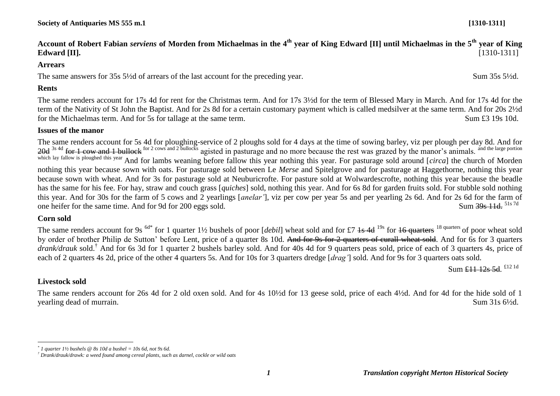**Account of Robert Fabian** *serviens* **of Morden from Michaelmas in the 4th year of King Edward [II] until Michaelmas in the 5th year of King Edward [II].** [1310-1311]

#### **Arrears**

The same answers for 35s 5<sup>1/2</sup>d of arrears of the last account for the preceding year. Sum 35s 5<sup>1/2</sup>d.

#### **Rents**

The same renders account for 17s 4d for rent for the Christmas term. And for 17s 3½d for the term of Blessed Mary in March. And for 17s 4d for the term of the Nativity of St John the Baptist. And for 2s 8d for a certain customary payment which is called medsilver at the same term. And for 20s 2½d for the Michaelmas term. And for 5s for tallage at the same term. Sum £3 19s 10d.

#### **Issues of the manor**

The same renders account for 5s 4d for ploughing-service of 2 ploughs sold for 4 days at the time of sowing barley, viz per plough per day 8d. And for 20d  $^{3s\text{ 4d}}$  for 1 cow and 1 bullock for 2 cows and 2 bullocks agisted in pasturage and no more because the rest was grazed by the manor's animals. <sup>and the large portion</sup> which lay fallow is ploughed this year And for lambs weaning before fallow this year nothing this year. For pasturage sold around [*circa*] the church of Morden nothing this year because sown with oats. For pasturage sold between Le *Merse* and Spitelgrove and for pasturage at Haggethorne, nothing this year because sown with wheat. And for 3s for pasturage sold at Neuburicrofte. For pasture sold at Wolwardescrofte, nothing this year because the beadle has the same for his fee. For hay, straw and couch grass [*quiches*] sold, nothing this year. And for 6s 8d for garden fruits sold. For stubble sold nothing this year. And for 30s for the farm of 5 cows and 2 yearlings [*anelar'*], viz per cow per year 5s and per yearling 2s 6d. And for 2s 6d for the farm of one heifer for the same time. And for 9d for 200 eggs sold. one heifer for the same time. And for 9d for 200 eggs sold.

#### **Corn sold**

The same renders account for 9s <sup>6d\*</sup> for 1 quarter 1½ bushels of poor [*debil*] wheat sold and for £7 1s 4d <sup>19s</sup> for 16 quarters <sup>18 quarters</sup> of poor wheat sold by order of brother Philip de Sutton' before Lent, price of a quarter 8s 10d. And for 9s for 2 quarters of curall wheat sold. And for 6s for 3 quarters *drank/drauk* sold.† And for 6s 3d for 1 quarter 2 bushels barley sold. And for 40s 4d for 9 quarters peas sold, price of each of 3 quarters 4s, price of each of 2 quarters 4s 2d, price of the other 4 quarters 5s. And for 10s for 3 quarters dredge [*drag'*] sold. And for 9s for 3 quarters oats sold.

Sum £11 12s 5d. £12 1d

# **Livestock sold**

<u>.</u>

The same renders account for 26s 4d for 2 old oxen sold. And for 4s 10½d for 13 geese sold, price of each 4½d. And for 4d for the hide sold of 1 yearling dead of murrain. Sum 31s 6<sup> $1/2$ </sup>d.

*<sup>\*</sup> 1 quarter 1½ bushels @ 8s 10d a bushel = 10s 6d, not 9s 6d.*

*<sup>†</sup> Drank/drauk/drawk: a weed found among cereal plants, such as darnel, cockle or wild oats*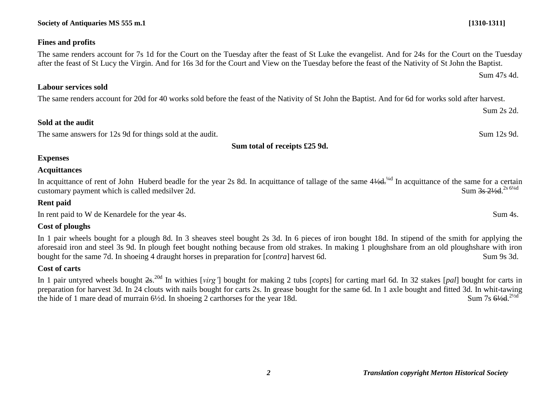#### **Society of Antiquaries MS 555 m.1 [1310-1311]**

#### **Fines and profits**

## The same renders account for 7s 1d for the Court on the Tuesday after the feast of St Luke the evangelist. And for 24s for the Court on the Tuesday

#### **Labour services sold**

The same renders account for 20d for 40 works sold before the feast of the Nativity of St John the Baptist. And for 6d for works sold after harvest.

after the feast of St Lucy the Virgin. And for 16s 3d for the Court and View on the Tuesday before the feast of the Nativity of St John the Baptist.

#### **Sold at the audit**

The same answers for 12s 9d for things sold at the audit. Sum 12s 9d. Sum 12s 9d.

#### **Sum total of receipts £25 9d.**

#### **Expenses**

#### **Acquittances**

In acquittance of rent of John Huberd beadle for the year 2s 8d. In acquittance of tallage of the same  $4\frac{1}{4}d$ . In acquittance of the same for a certain customary payment which is called medsilver 2d. Sum 3s 21/<sub>28</sub> 6<sup>1/4d</sup>

#### **Rent paid**

In rent paid to W de Kenardele for the year 4s. Sum 4s.

#### **Cost of ploughs**

In 1 pair wheels bought for a plough 8d. In 3 sheaves steel bought 2s 3d. In 6 pieces of iron bought 18d. In stipend of the smith for applying the aforesaid iron and steel 3s 9d. In plough feet bought nothing because from old strakes. In making 1 ploughshare from an old ploughshare with iron bought for the same 7d. In shoeing 4 draught horses in preparation for [*contra*] harvest 6d. Sum 9s 3d.

#### **Cost of carts**

In 1 pair untyred wheels bought 2s. 20d In withies [*virg'*] bought for making 2 tubs [*copts*] for carting marl 6d. In 32 stakes [*pal*] bought for carts in preparation for harvest 3d. In 24 clouts with nails bought for carts 2s. In grease bought for the same 6d. In 1 axle bought and fitted 3d. In whit-tawing the hide of 1 mare dead of murrain  $6\frac{1}{2}$ d. In shoeing 2 carthorses for the year 18d. Sum 7s  $6\frac{1}{2}$ d  $2\frac{1}{2}$ d

Sum 47s 4d.

Sum 2s 2d.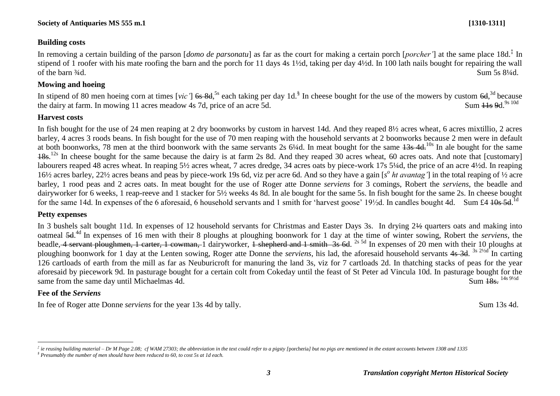## **Building costs**

In removing a certain building of the parson [*domo de parsonatu*] as far as the court for making a certain porch [*porcher'*] at the same place 18d.‡ In stipend of 1 roofer with his mate roofing the barn and the porch for 11 days 4s 1½d, taking per day 4½d. In 100 lath nails bought for repairing the wall of the barn  $\frac{3}{4}d$ . Sum 5s  $\frac{81}{4}d$ .

## **Mowing and hoeing**

In stipend of 80 men hoeing corn at times [*vic'*] <del>6s 8d</del>,<sup>5s</sup> each taking per day 1d.<sup>§</sup> In cheese bought for the use of the mowers by custom 6d,<sup>3d</sup> because the dairy at farm. In mowing 11 acres meadow 4s 7d, price of an acre 5d. Sum  $\frac{1}{1}$ s 9d.<sup>9s 10d</sup>

## **Harvest costs**

In fish bought for the use of 24 men reaping at 2 dry boonworks by custom in harvest 14d. And they reaped 8½ acres wheat, 6 acres mixtillio, 2 acres barley, 4 acres 3 roods beans. In fish bought for the use of 70 men reaping with the household servants at 2 boonworks because 2 men were in default at both boonworks, 78 men at the third boonwork with the same servants 2s  $6\frac{1}{4}$ . In meat bought for the same  $\frac{13s}{4}$ . In ale bought for the same 18s.<sup>12s</sup> In cheese bought for the same because the dairy is at farm 2s 8d. And they reaped 30 acres wheat, 60 acres oats. And note that [customary] labourers reaped 48 acres wheat. In reaping 5½ acres wheat, 7 acres dredge, 34 acres oats by piece-work 17s 5¼d, the price of an acre 4½d. In reaping 16<sup>1</sup>/<sub>2</sub> acres barley, 22<sup>1</sup>/<sub>2</sub> acres beans and peas by piece-work 19s 6d, viz per acre 6d. And so they have a gain [s<sup>o</sup> ht avantag'] in the total reaping of 1/2 acre barley, 1 rood peas and 2 acres oats. In meat bought for the use of Roger atte Donne *serviens* for 3 comings, Robert the *serviens*, the beadle and dairyworker for 6 weeks, 1 reap-reeve and 1 stacker for 5½ weeks 4s 8d. In ale bought for the same 5s. In fish bought for the same 2s. In cheese bought for the same 14d. In expenses of the 6 aforesaid, 6 household servants and 1 smith for 'harvest goose' 19½d. In candles bought 4d. Sum £4 10s 5d.

## **Petty expenses**

In 3 bushels salt bought 11d. In expenses of 12 household servants for Christmas and Easter Days 3s. In drying 2½ quarters oats and making into oatmeal 5d. 4d In expenses of 16 men with their 8 ploughs at ploughing boonwork for 1 day at the time of winter sowing, Robert the *serviens*, the beadle, 4 servant ploughmen, 1 carter, 1 cowman, 1 dairyworker, 1 shepherd and 1 smith 3s 6d. <sup>2s 5d</sup> In expenses of 20 men with their 10 ploughs at ploughing boonwork for 1 day at the Lenten sowing, Roger atte Donne the *serviens*, his lad, the aforesaid household servants 4s 3d. <sup>3s 21/2d</sup> In carting 126 cartloads of earth from the mill as far as Neuburicroft for manuring the land 3s, viz for 7 cartloads 2d. In thatching stacks of peas for the year aforesaid by piecework 9d. In pasturage bought for a certain colt from Cokeday until the feast of St Peter ad Vincula 10d. In pasturage bought for the same from the same day until Michaelmas 4d.<br>Sum  $\frac{18e^{-14s9/2d}}{s}$ same from the same day until Michaelmas 4d.

## **Fee of the** *Serviens*

<u>.</u>

In fee of Roger atte Donne *serviens* for the year 13s 4d by tally. Sum 13s 4d.

 $\phi^{\ddag}$  ie reusing building material – Dr M Page 2.08; cf WAM 27303; the abbreviation in the text could refer to a pigsty [porcheria] but no pigs are mentioned in the extant accounts between 1308 and 1335 *§ Presumably the number of men should have been reduced to 60, to cost 5s at 1d each.*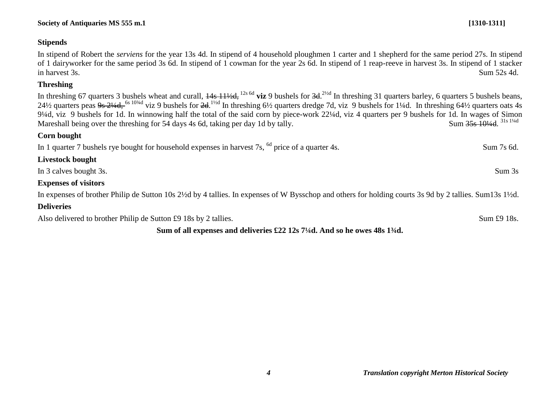## **Stipends**

In stipend of Robert the *serviens* for the year 13s 4d. In stipend of 4 household ploughmen 1 carter and 1 shepherd for the same period 27s. In stipend of 1 dairyworker for the same period 3s 6d. In stipend of 1 cowman for the year 2s 6d. In stipend of 1 reap-reeve in harvest 3s. In stipend of 1 stacker in harvest 3s. Sum 52s 4d.

## **Threshing**

In threshing 67 quarters 3 bushels wheat and curall, 14s 11½d, 12s 6d **viz** 9 bushels for 3d. 2½d In threshing 31 quarters barley, 6 quarters 5 bushels beans, 24½ quarters peas <del>9s 2¼d, <sup>6s 10¼d</sup></del> viz 9 bushels for <del>2d</del>.<sup>1½d</sup> In threshing 6½ quarters dredge 7d, viz 9 bushels for 1¼d. In threshing 64½ quarters oats 4s 9¼d, viz 9 bushels for 1d. In winnowing half the total of the said corn by piece-work 22¼d, viz 4 quarters per 9 bushels for 1d. In wages of Simon Mareshall being over the threshing for 54 days 4s 6d, taking per day 1d by tally. Sum 35s 101/4d 31s 11/4d

## **Corn bought**

In 1 quarter 7 bushels rye bought for household expenses in harvest 7s, <sup>6d</sup> price of a quarter 4s. Sum 7s 6d.

| <b>Livestock bought</b> |        |
|-------------------------|--------|
| In 3 calves bought 3s.  | Sum 3s |

## **Expenses of visitors**

In expenses of brother Philip de Sutton 10s 2½d by 4 tallies. In expenses of W Bysschop and others for holding courts 3s 9d by 2 tallies. Sum13s 1½d.

# **Deliveries**

Also delivered to brother Philip de Sutton £9 18s by 2 tallies. Sum £9 18s.

# **Sum of all expenses and deliveries £22 12s 7¼d. And so he owes 48s 1¾d.**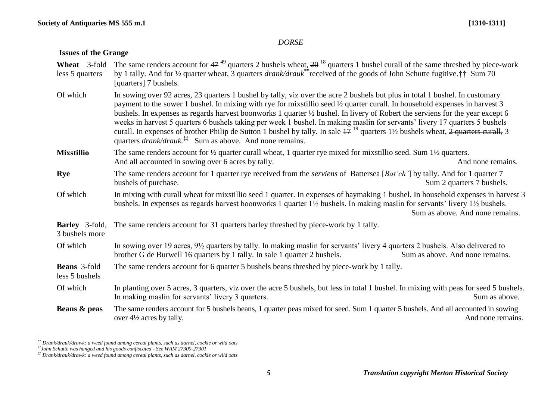### *DORSE*

## **Issues of the Grange**

| Wheat 3-fold<br>less 5 quarters         | The same renders account for $47^{49}$ quarters 2 bushels wheat, $2\theta^{18}$ quarters 1 bushel curall of the same threshed by piece-work<br>by 1 tally. And for 1/2 quarter wheat, 3 quarters <i>drank/drauk</i> **received of the goods of John Schutte fugitive.†† Sum 70<br>[quarters] 7 bushels.                                                                                                                                                                                                                                                                                                                                                                                                                                                         |  |  |
|-----------------------------------------|-----------------------------------------------------------------------------------------------------------------------------------------------------------------------------------------------------------------------------------------------------------------------------------------------------------------------------------------------------------------------------------------------------------------------------------------------------------------------------------------------------------------------------------------------------------------------------------------------------------------------------------------------------------------------------------------------------------------------------------------------------------------|--|--|
| Of which                                | In sowing over 92 acres, 23 quarters 1 bushel by tally, viz over the acre 2 bushels but plus in total 1 bushel. In customary<br>payment to the sower 1 bushel. In mixing with rye for mixstillio seed 1/2 quarter curall. In household expenses in harvest 3<br>bushels. In expenses as regards harvest boonworks 1 quarter 1/2 bushel. In livery of Robert the serviens for the year except 6<br>weeks in harvest 5 quarters 6 bushels taking per week 1 bushel. In making maslin for servants' livery 17 quarters 5 bushels<br>curall. In expenses of brother Philip de Sutton 1 bushel by tally. In sale $47^{19}$ quarters $1\frac{1}{2}$ bushels wheat, $2$ quarters curall, 3<br>quarters <i>drank/drauk</i> <sup>#</sup> Sum as above. And none remains. |  |  |
| <b>Mixstillio</b>                       | The same renders account for $\frac{1}{2}$ quarter curall wheat, 1 quarter rye mixed for mixstillio seed. Sum $1\frac{1}{2}$ quarters.<br>And all accounted in sowing over 6 acres by tally.<br>And none remains.                                                                                                                                                                                                                                                                                                                                                                                                                                                                                                                                               |  |  |
| <b>Rye</b>                              | The same renders account for 1 quarter rye received from the serviens of Battersea [Bat'ch'] by tally. And for 1 quarter 7<br>bushels of purchase.<br>Sum 2 quarters 7 bushels.                                                                                                                                                                                                                                                                                                                                                                                                                                                                                                                                                                                 |  |  |
| Of which                                | In mixing with curall wheat for mixstillio seed 1 quarter. In expenses of haymaking 1 bushel. In household expenses in harvest 3<br>bushels. In expenses as regards harvest boonworks 1 quarter 1½ bushels. In making maslin for servants' livery 1½ bushels.<br>Sum as above. And none remains.                                                                                                                                                                                                                                                                                                                                                                                                                                                                |  |  |
| <b>Barley</b> 3-fold,<br>3 bushels more | The same renders account for 31 quarters barley threshed by piece-work by 1 tally.                                                                                                                                                                                                                                                                                                                                                                                                                                                                                                                                                                                                                                                                              |  |  |
| Of which                                | In sowing over 19 acres, 9½ quarters by tally. In making maslin for servants' livery 4 quarters 2 bushels. Also delivered to<br>brother G de Burwell 16 quarters by 1 tally. In sale 1 quarter 2 bushels.<br>Sum as above. And none remains.                                                                                                                                                                                                                                                                                                                                                                                                                                                                                                                    |  |  |
| <b>Beans</b> 3-fold<br>less 5 bushels   | The same renders account for 6 quarter 5 bushels beans threshed by piece-work by 1 tally.                                                                                                                                                                                                                                                                                                                                                                                                                                                                                                                                                                                                                                                                       |  |  |
| Of which                                | In planting over 5 acres, 3 quarters, viz over the acre 5 bushels, but less in total 1 bushel. In mixing with peas for seed 5 bushels.<br>In making maslin for servants' livery 3 quarters.<br>Sum as above.                                                                                                                                                                                                                                                                                                                                                                                                                                                                                                                                                    |  |  |
| Beans & peas                            | The same renders account for 5 bushels beans, 1 quarter peas mixed for seed. Sum 1 quarter 5 bushels. And all accounted in sowing<br>over 4½ acres by tally.<br>And none remains.                                                                                                                                                                                                                                                                                                                                                                                                                                                                                                                                                                               |  |  |

*<sup>\*\*</sup> Drank/drauk/drawk: a weed found among cereal plants, such as darnel, cockle or wild oats*

<u>.</u>

*<sup>††</sup>John Schutte was hanged and his goods confiscated - See WAM 27300-27301*

*<sup>‡‡</sup> Drank/drauk/drawk: a weed found among cereal plants, such as darnel, cockle or wild oats*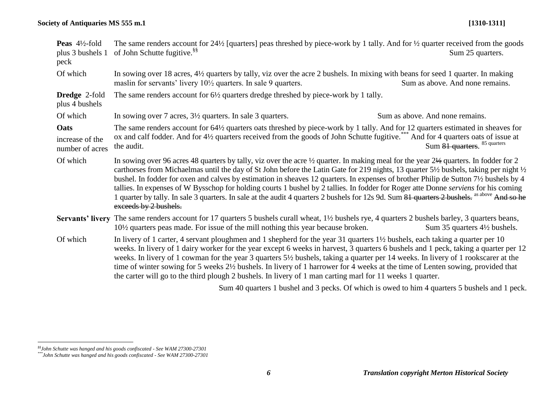| <b>Peas</b> $4\frac{1}{2}$ -fold<br>plus 3 bushels 1<br>peck | of John Schutte fugitive. <sup>§§</sup>                                                                                                                                                                                                                                                                                                                                                                                                                                                                                                                                                                                                                                                                                                                | The same renders account for $24\frac{1}{2}$ [quarters] peas threshed by piece-work by 1 tally. And for $\frac{1}{2}$ quarter received from the goods<br>Sum 25 quarters. |  |  |
|--------------------------------------------------------------|--------------------------------------------------------------------------------------------------------------------------------------------------------------------------------------------------------------------------------------------------------------------------------------------------------------------------------------------------------------------------------------------------------------------------------------------------------------------------------------------------------------------------------------------------------------------------------------------------------------------------------------------------------------------------------------------------------------------------------------------------------|---------------------------------------------------------------------------------------------------------------------------------------------------------------------------|--|--|
| Of which                                                     | maslin for servants' livery $10\frac{1}{2}$ quarters. In sale 9 quarters.                                                                                                                                                                                                                                                                                                                                                                                                                                                                                                                                                                                                                                                                              | In sowing over 18 acres, 4½ quarters by tally, viz over the acre 2 bushels. In mixing with beans for seed 1 quarter. In making<br>Sum as above. And none remains.         |  |  |
| <b>Dredge 2-fold</b><br>plus 4 bushels                       | The same renders account for 6 <sup>1</sup> / <sub>2</sub> quarters dredge threshed by piece-work by 1 tally.                                                                                                                                                                                                                                                                                                                                                                                                                                                                                                                                                                                                                                          |                                                                                                                                                                           |  |  |
| Of which                                                     | In sowing over 7 acres, $3\frac{1}{2}$ quarters. In sale 3 quarters.                                                                                                                                                                                                                                                                                                                                                                                                                                                                                                                                                                                                                                                                                   | Sum as above. And none remains.                                                                                                                                           |  |  |
| Oats<br>increase of the<br>number of acres                   | The same renders account for 64½ quarters oats threshed by piece-work by 1 tally. And for 12 quarters estimated in sheaves for<br>ox and calf fodder. And for 4½ quarters received from the goods of John Schutte fugitive. *** And for 4 quarters oats of issue at<br>the audit.                                                                                                                                                                                                                                                                                                                                                                                                                                                                      | Sum 81 quarters. 85 quarters                                                                                                                                              |  |  |
| Of which                                                     | In sowing over 96 acres 48 quarters by tally, viz over the acre 1/2 quarter. In making meal for the year 21/2 quarters. In fodder for 2<br>carthorses from Michaelmas until the day of St John before the Latin Gate for 219 nights, 13 quarter 5½ bushels, taking per night ½<br>bushel. In fodder for oxen and calves by estimation in sheaves 12 quarters. In expenses of brother Philip de Sutton 7½ bushels by 4<br>tallies. In expenses of W Bysschop for holding courts 1 bushel by 2 tallies. In fodder for Roger atte Donne serviens for his coming<br>1 quarter by tally. In sale 3 quarters. In sale at the audit 4 quarters 2 bushels for 12s 9d. Sum 81 quarters 2 bushels. as above And so he<br>exceeds by 2 bushels.                   |                                                                                                                                                                           |  |  |
|                                                              | Servants' livery The same renders account for 17 quarters 5 bushels curall wheat, 1½ bushels rye, 4 quarters 2 bushels barley, 3 quarters beans,<br>10 <sup>1</sup> / <sub>2</sub> quarters peas made. For issue of the mill nothing this year because broken.                                                                                                                                                                                                                                                                                                                                                                                                                                                                                         | Sum 35 quarters $4\frac{1}{2}$ bushels.                                                                                                                                   |  |  |
| Of which                                                     | In livery of 1 carter, 4 servant ploughmen and 1 shepherd for the year 31 quarters 1½ bushels, each taking a quarter per 10<br>weeks. In livery of 1 dairy worker for the year except 6 weeks in harvest, 3 quarters 6 bushels and 1 peck, taking a quarter per 12<br>weeks. In livery of 1 cowman for the year 3 quarters 5½ bushels, taking a quarter per 14 weeks. In livery of 1 rookscarer at the<br>time of winter sowing for 5 weeks 2½ bushels. In livery of 1 harrower for 4 weeks at the time of Lenten sowing, provided that<br>the carter will go to the third plough 2 bushels. In livery of 1 man carting marl for 11 weeks 1 quarter.<br>Sum 40 quarters 1 bushel and 3 pecks. Of which is owed to him 4 quarters 5 bushels and 1 peck. |                                                                                                                                                                           |  |  |
|                                                              |                                                                                                                                                                                                                                                                                                                                                                                                                                                                                                                                                                                                                                                                                                                                                        |                                                                                                                                                                           |  |  |

<u>.</u>

*<sup>§§</sup>John Schutte was hanged and his goods confiscated - See WAM 27300-27301*

*<sup>\*\*\*</sup>John Schutte was hanged and his goods confiscated - See WAM 27300-27301*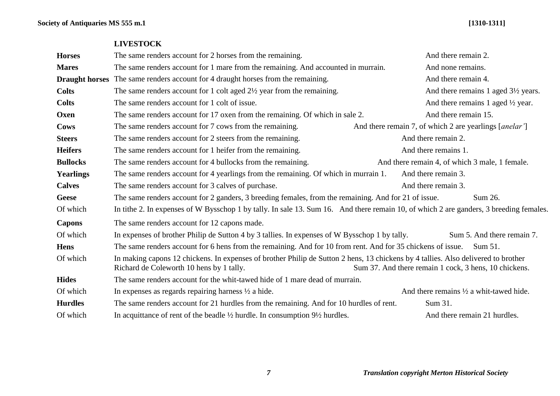**Society of Antiquaries MS 555 m.1 [1310-1311]**

| <b>Horses</b>    | The same renders account for 2 horses from the remaining.                                                                                                                                                                              | And there remain 2.                                                         |  |  |
|------------------|----------------------------------------------------------------------------------------------------------------------------------------------------------------------------------------------------------------------------------------|-----------------------------------------------------------------------------|--|--|
| <b>Mares</b>     | The same renders account for 1 mare from the remaining. And accounted in murrain.                                                                                                                                                      | And none remains.                                                           |  |  |
|                  | <b>Draught horses</b> The same renders account for 4 draught horses from the remaining.                                                                                                                                                | And there remain 4.                                                         |  |  |
| <b>Colts</b>     | The same renders account for 1 colt aged $2\frac{1}{2}$ year from the remaining.                                                                                                                                                       | And there remains 1 aged 3½ years.                                          |  |  |
| <b>Colts</b>     | The same renders account for 1 colt of issue.                                                                                                                                                                                          | And there remains 1 aged $\frac{1}{2}$ year.                                |  |  |
| Oxen             | The same renders account for 17 oxen from the remaining. Of which in sale 2.                                                                                                                                                           | And there remain 15.                                                        |  |  |
| Cows             | The same renders account for 7 cows from the remaining.                                                                                                                                                                                | And there remain 7, of which 2 are yearlings [ <i>anelar</i> <sup>'</sup> ] |  |  |
| <b>Steers</b>    | The same renders account for 2 steers from the remaining.                                                                                                                                                                              | And there remain 2.                                                         |  |  |
| <b>Heifers</b>   | The same renders account for 1 heifer from the remaining.                                                                                                                                                                              | And there remains 1.                                                        |  |  |
| <b>Bullocks</b>  | The same renders account for 4 bullocks from the remaining.                                                                                                                                                                            | And there remain 4, of which 3 male, 1 female.                              |  |  |
| <b>Yearlings</b> | The same renders account for 4 yearlings from the remaining. Of which in murrain 1.                                                                                                                                                    | And there remain 3.                                                         |  |  |
| <b>Calves</b>    | The same renders account for 3 calves of purchase.                                                                                                                                                                                     | And there remain 3.                                                         |  |  |
| <b>Geese</b>     | The same renders account for 2 ganders, 3 breeding females, from the remaining. And for 21 of issue.<br>Sum 26.                                                                                                                        |                                                                             |  |  |
| Of which         | In tithe 2. In expenses of W Bysschop 1 by tally. In sale 13. Sum 16. And there remain 10, of which 2 are ganders, 3 breeding females.                                                                                                 |                                                                             |  |  |
| <b>Capons</b>    | The same renders account for 12 capons made.                                                                                                                                                                                           |                                                                             |  |  |
| Of which         | In expenses of brother Philip de Sutton 4 by 3 tallies. In expenses of W Bysschop 1 by tally.                                                                                                                                          | Sum 5. And there remain 7.                                                  |  |  |
| <b>Hens</b>      | The same renders account for 6 hens from the remaining. And for 10 from rent. And for 35 chickens of issue.<br><b>Sum 51.</b>                                                                                                          |                                                                             |  |  |
| Of which         | In making capons 12 chickens. In expenses of brother Philip de Sutton 2 hens, 13 chickens by 4 tallies. Also delivered to brother<br>Richard de Coleworth 10 hens by 1 tally.<br>Sum 37. And there remain 1 cock, 3 hens, 10 chickens. |                                                                             |  |  |
| <b>Hides</b>     | The same renders account for the whit-tawed hide of 1 mare dead of murrain.                                                                                                                                                            |                                                                             |  |  |
| Of which         | In expenses as regards repairing harness $\frac{1}{2}$ a hide.                                                                                                                                                                         | And there remains $\frac{1}{2}$ a whit-tawed hide.                          |  |  |
| <b>Hurdles</b>   | The same renders account for 21 hurdles from the remaining. And for 10 hurdles of rent.                                                                                                                                                | Sum 31.                                                                     |  |  |
| Of which         | In acquittance of rent of the beadle $\frac{1}{2}$ hurdle. In consumption $9\frac{1}{2}$ hurdles.                                                                                                                                      | And there remain 21 hurdles.                                                |  |  |